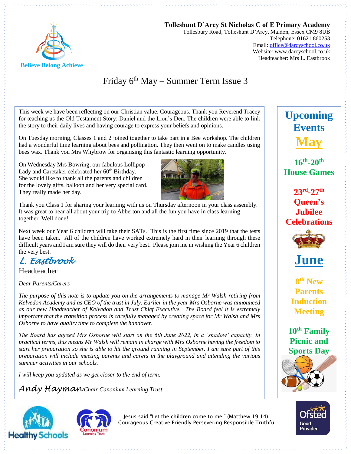

**Tolleshunt D'Arcy St Nicholas C of E Primary Academy** Tollesbury Road, Tolleshunt D'Arcy, Maldon, Essex CM9 8UB Telephone: 01621 860253 Email[: office@darcyschool.co.uk](mailto:office@darcyschool.co.uk) Website: www.darcyschool.co.uk Headteacher: Mrs L. Eastbrook

## Friday 6 th May – Summer Term Issue 3

This week we have been reflecting on our Christian value: Courageous. Thank you Reverend Tracey for teaching us the Old Testament Story: Daniel and the Lion's Den. The children were able to link the story to their daily lives and having courage to express your beliefs and opinions.

On Tuesday morning, Classes 1 and 2 joined together to take part in a Bee workshop. The children had a wonderful time learning about bees and pollination. They then went on to make candles using bees wax. Thank you Mrs Whybrow for organising this fantastic learning opportunity.

On Wednesday Mrs Bowring, our fabulous Lollipop Lady and Caretaker celebrated her 60<sup>th</sup> Birthday. She would like to thank all the parents and children for the lovely gifts, balloon and her very special card. They really made her day.



Thank you Class 1 for sharing your learning with us on Thursday afternoon in your class assembly. It was great to hear all about your trip to Abberton and all the fun you have in class learning together. Well done!

Next week our Year 6 children will take their SATs. This is the first time since 2019 that the tests have been taken. All of the children have worked extremely hard in their learning through these difficult years and I am sure they will do their very best. Please join me in wishing the Year 6 children the very best.

*L. Eastbrook* 

Headteacher

*Dear Parents/Carers*

*The purpose of this note is to update you on the arrangements to manage Mr Walsh retiring from Kelvedon Academy and as CEO of the trust in July. Earlier in the year Mrs Osborne was announced as our new Headteacher of Kelvedon and Trust Chief Executive. The Board feel it is extremely important that the transition process is carefully managed by creating space for Mr Walsh and Mrs Osborne to have quality time to complete the handover.* 

*The Board has agreed Mrs Osborne will start on the 6th June 2022, in a 'shadow' capacity. In practical terms, this means Mr Walsh will remain in charge with Mrs Osborne having the freedom to start her preparation so she is able to hit the ground running in September. I am sure part of this preparation will include meeting parents and carers in the playground and attending the various summer activities in our schools.*

*I will keep you updated as we get closer to the end of term.*

*Andy Hayman Chair Canonium Learning Trust*





Jesus said "Let the children come to me." (Matthew 19:14) Courageous Creative Friendly Persevering Responsible Truthful



**16th -20th House Games**

**23rd -27th Queen's Jubilee Celebrations**



**June** 

**8 th New Parents Induction Meeting**

**10th Family Picnic and Sports Day**